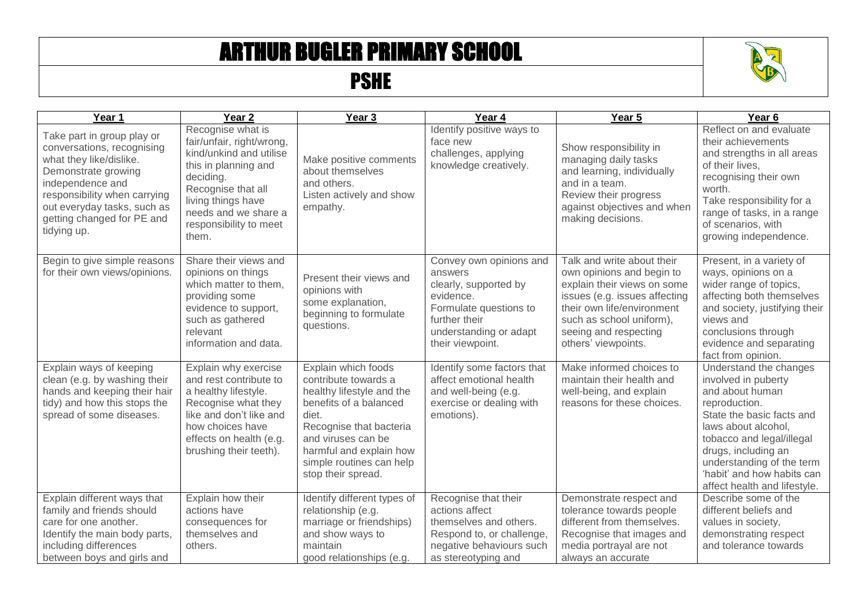## ARTHUR BUGLER PRIMARY SCHOOL

## PSHE



| Year 1                                                                                                                                                                                                                                     | Year <sub>2</sub>                                                                                                                                                                                                     | Year <sub>3</sub>                                                                                                                                                                                                                         | Year 4                                                                                                                                                            | Year 5                                                                                                                                                                                                                            | Year <sub>6</sub>                                                                                                                                                                                                                                                                    |
|--------------------------------------------------------------------------------------------------------------------------------------------------------------------------------------------------------------------------------------------|-----------------------------------------------------------------------------------------------------------------------------------------------------------------------------------------------------------------------|-------------------------------------------------------------------------------------------------------------------------------------------------------------------------------------------------------------------------------------------|-------------------------------------------------------------------------------------------------------------------------------------------------------------------|-----------------------------------------------------------------------------------------------------------------------------------------------------------------------------------------------------------------------------------|--------------------------------------------------------------------------------------------------------------------------------------------------------------------------------------------------------------------------------------------------------------------------------------|
| Take part in group play or<br>conversations, recognising<br>what they like/dislike.<br>Demonstrate growing<br>independence and<br>responsibility when carrying<br>out everyday tasks, such as<br>getting changed for PE and<br>tidying up. | Recognise what is<br>fair/unfair, right/wrong,<br>kind/unkind and utilise<br>this in planning and<br>deciding.<br>Recognise that all<br>living things have<br>needs and we share a<br>responsibility to meet<br>them. | Make positive comments<br>about themselves<br>and others.<br>Listen actively and show<br>empathy.                                                                                                                                         | Identify positive ways to<br>face new<br>challenges, applying<br>knowledge creatively.                                                                            | Show responsibility in<br>managing daily tasks<br>and learning, individually<br>and in a team.<br>Review their progress<br>against objectives and when<br>making decisions.                                                       | Reflect on and evaluate<br>their achievements<br>and strengths in all areas<br>of their lives.<br>recognising their own<br>worth.<br>Take responsibility for a<br>range of tasks, in a range<br>of scenarios, with<br>growing independence.                                          |
| Begin to give simple reasons<br>for their own views/opinions.                                                                                                                                                                              | Share their views and<br>opinions on things<br>which matter to them,<br>providing some<br>evidence to support,<br>such as gathered<br>relevant<br>information and data.                                               | Present their views and<br>opinions with<br>some explanation,<br>beginning to formulate<br>questions.                                                                                                                                     | Convey own opinions and<br>answers<br>clearly, supported by<br>evidence.<br>Formulate questions to<br>further their<br>understanding or adapt<br>their viewpoint. | Talk and write about their<br>own opinions and begin to<br>explain their views on some<br>issues (e.g. issues affecting<br>their own life/environment<br>such as school uniform),<br>seeing and respecting<br>others' viewpoints. | Present, in a variety of<br>ways, opinions on a<br>wider range of topics,<br>affecting both themselves<br>and society, justifying their<br>views and<br>conclusions through<br>evidence and separating<br>fact from opinion.                                                         |
| Explain ways of keeping<br>clean (e.g. by washing their<br>hands and keeping their hair<br>tidy) and how this stops the<br>spread of some diseases.                                                                                        | Explain why exercise<br>and rest contribute to<br>a healthy lifestyle.<br>Recognise what they<br>like and don't like and<br>how choices have<br>effects on health (e.g.<br>brushing their teeth).                     | Explain which foods<br>contribute towards a<br>healthy lifestyle and the<br>benefits of a balanced<br>diet.<br>Recognise that bacteria<br>and viruses can be<br>harmful and explain how<br>simple routines can help<br>stop their spread. | Identify some factors that<br>affect emotional health<br>and well-being (e.g.<br>exercise or dealing with<br>emotions).                                           | Make informed choices to<br>maintain their health and<br>well-being, and explain<br>reasons for these choices.                                                                                                                    | Understand the changes<br>involved in puberty<br>and about human<br>reproduction.<br>State the basic facts and<br>laws about alcohol,<br>tobacco and legal/illegal<br>drugs, including an<br>understanding of the term<br>'habit' and how habits can<br>affect health and lifestyle. |
| Explain different ways that<br>family and friends should<br>care for one another.<br>Identify the main body parts,<br>including differences<br>between boys and girls and                                                                  | Explain how their<br>actions have<br>consequences for<br>themselves and<br>others.                                                                                                                                    | Identify different types of<br>relationship (e.g.<br>marriage or friendships)<br>and show ways to<br>maintain<br>good relationships (e.g.                                                                                                 | Recognise that their<br>actions affect<br>themselves and others.<br>Respond to, or challenge,<br>negative behaviours such<br>as stereotyping and                  | Demonstrate respect and<br>tolerance towards people<br>different from themselves.<br>Recognise that images and<br>media portrayal are not<br>always an accurate                                                                   | Describe some of the<br>different beliefs and<br>values in society,<br>demonstrating respect<br>and tolerance towards                                                                                                                                                                |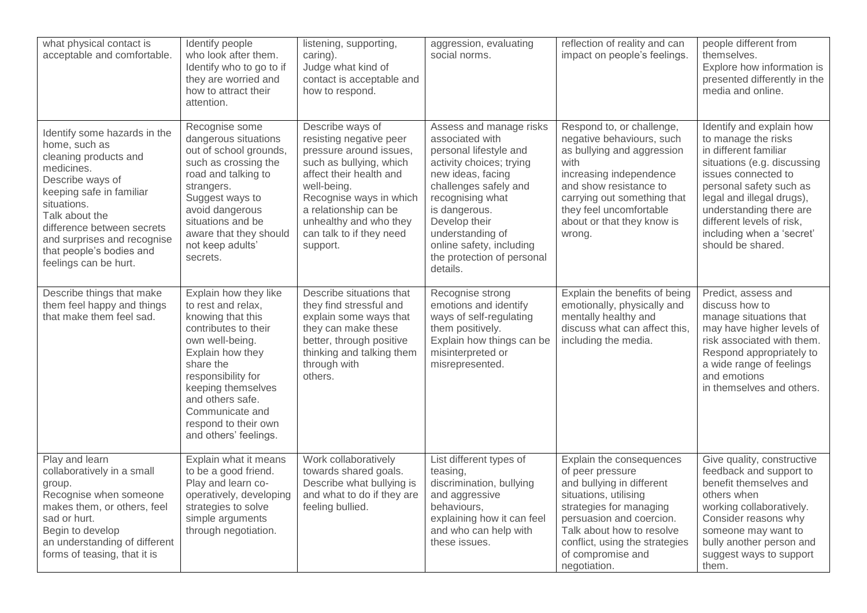| what physical contact is<br>acceptable and comfortable.                                                                                                                                                                                                                                 | Identify people<br>who look after them.<br>Identify who to go to if<br>they are worried and<br>how to attract their<br>attention.                                                                                                                                                | listening, supporting,<br>caring).<br>Judge what kind of<br>contact is acceptable and<br>how to respond.                                                                                                                                                          | aggression, evaluating<br>social norms.                                                                                                                                                                                                                                                        | reflection of reality and can<br>impact on people's feelings.                                                                                                                                                                                                 | people different from<br>themselves.<br>Explore how information is<br>presented differently in the<br>media and online.                                                                                                                                                                          |
|-----------------------------------------------------------------------------------------------------------------------------------------------------------------------------------------------------------------------------------------------------------------------------------------|----------------------------------------------------------------------------------------------------------------------------------------------------------------------------------------------------------------------------------------------------------------------------------|-------------------------------------------------------------------------------------------------------------------------------------------------------------------------------------------------------------------------------------------------------------------|------------------------------------------------------------------------------------------------------------------------------------------------------------------------------------------------------------------------------------------------------------------------------------------------|---------------------------------------------------------------------------------------------------------------------------------------------------------------------------------------------------------------------------------------------------------------|--------------------------------------------------------------------------------------------------------------------------------------------------------------------------------------------------------------------------------------------------------------------------------------------------|
| Identify some hazards in the<br>home, such as<br>cleaning products and<br>medicines.<br>Describe ways of<br>keeping safe in familiar<br>situations.<br>Talk about the<br>difference between secrets<br>and surprises and recognise<br>that people's bodies and<br>feelings can be hurt. | Recognise some<br>dangerous situations<br>out of school grounds,<br>such as crossing the<br>road and talking to<br>strangers.<br>Suggest ways to<br>avoid dangerous<br>situations and be<br>aware that they should<br>not keep adults'<br>secrets.                               | Describe ways of<br>resisting negative peer<br>pressure around issues,<br>such as bullying, which<br>affect their health and<br>well-being.<br>Recognise ways in which<br>a relationship can be<br>unhealthy and who they<br>can talk to if they need<br>support. | Assess and manage risks<br>associated with<br>personal lifestyle and<br>activity choices; trying<br>new ideas, facing<br>challenges safely and<br>recognising what<br>is dangerous.<br>Develop their<br>understanding of<br>online safety, including<br>the protection of personal<br>details. | Respond to, or challenge,<br>negative behaviours, such<br>as bullying and aggression<br>with<br>increasing independence<br>and show resistance to<br>carrying out something that<br>they feel uncomfortable<br>about or that they know is<br>wrong.           | Identify and explain how<br>to manage the risks<br>in different familiar<br>situations (e.g. discussing<br>issues connected to<br>personal safety such as<br>legal and illegal drugs),<br>understanding there are<br>different levels of risk,<br>including when a 'secret'<br>should be shared. |
| Describe things that make<br>them feel happy and things<br>that make them feel sad.                                                                                                                                                                                                     | Explain how they like<br>to rest and relax,<br>knowing that this<br>contributes to their<br>own well-being.<br>Explain how they<br>share the<br>responsibility for<br>keeping themselves<br>and others safe.<br>Communicate and<br>respond to their own<br>and others' feelings. | Describe situations that<br>they find stressful and<br>explain some ways that<br>they can make these<br>better, through positive<br>thinking and talking them<br>through with<br>others.                                                                          | Recognise strong<br>emotions and identify<br>ways of self-regulating<br>them positively.<br>Explain how things can be<br>misinterpreted or<br>misrepresented.                                                                                                                                  | Explain the benefits of being<br>emotionally, physically and<br>mentally healthy and<br>discuss what can affect this.<br>including the media.                                                                                                                 | Predict, assess and<br>discuss how to<br>manage situations that<br>may have higher levels of<br>risk associated with them.<br>Respond appropriately to<br>a wide range of feelings<br>and emotions<br>in themselves and others.                                                                  |
| Play and learn<br>collaboratively in a small<br>group.<br>Recognise when someone<br>makes them, or others, feel<br>sad or hurt.<br>Begin to develop<br>an understanding of different<br>forms of teasing, that it is                                                                    | Explain what it means<br>to be a good friend.<br>Play and learn co-<br>operatively, developing<br>strategies to solve<br>simple arguments<br>through negotiation.                                                                                                                | Work collaboratively<br>towards shared goals.<br>Describe what bullying is<br>and what to do if they are<br>feeling bullied.                                                                                                                                      | List different types of<br>teasing,<br>discrimination, bullying<br>and aggressive<br>behaviours,<br>explaining how it can feel<br>and who can help with<br>these issues.                                                                                                                       | Explain the consequences<br>of peer pressure<br>and bullying in different<br>situations, utilising<br>strategies for managing<br>persuasion and coercion.<br>Talk about how to resolve<br>conflict, using the strategies<br>of compromise and<br>negotiation. | Give quality, constructive<br>feedback and support to<br>benefit themselves and<br>others when<br>working collaboratively.<br>Consider reasons why<br>someone may want to<br>bully another person and<br>suggest ways to support<br>them.                                                        |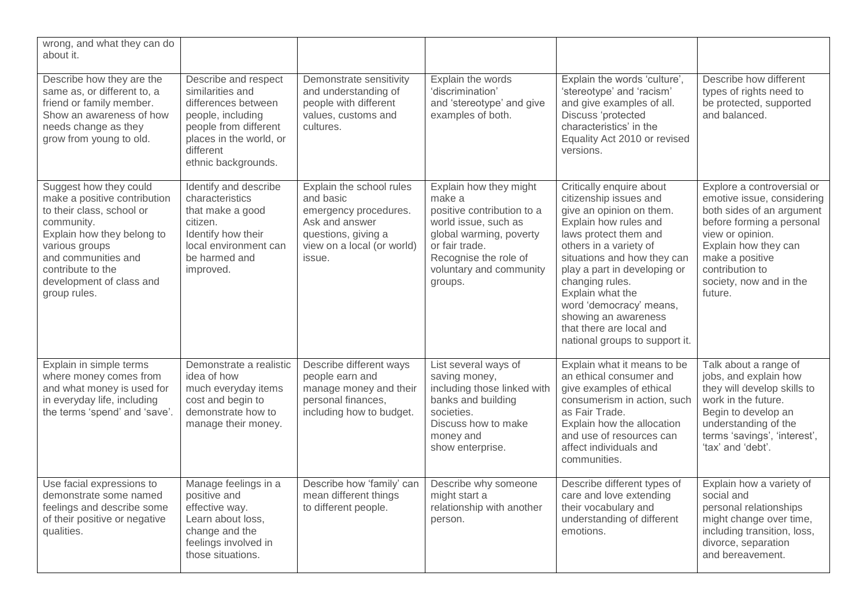| wrong, and what they can do<br>about it.                                                                                                                                                                                                  |                                                                                                                                                                              |                                                                                                                                                 |                                                                                                                                                                                                    |                                                                                                                                                                                                                                                                                                                                                                                   |                                                                                                                                                                                                                                            |
|-------------------------------------------------------------------------------------------------------------------------------------------------------------------------------------------------------------------------------------------|------------------------------------------------------------------------------------------------------------------------------------------------------------------------------|-------------------------------------------------------------------------------------------------------------------------------------------------|----------------------------------------------------------------------------------------------------------------------------------------------------------------------------------------------------|-----------------------------------------------------------------------------------------------------------------------------------------------------------------------------------------------------------------------------------------------------------------------------------------------------------------------------------------------------------------------------------|--------------------------------------------------------------------------------------------------------------------------------------------------------------------------------------------------------------------------------------------|
| Describe how they are the<br>same as, or different to, a<br>friend or family member.<br>Show an awareness of how<br>needs change as they<br>grow from young to old.                                                                       | Describe and respect<br>similarities and<br>differences between<br>people, including<br>people from different<br>places in the world, or<br>different<br>ethnic backgrounds. | Demonstrate sensitivity<br>and understanding of<br>people with different<br>values, customs and<br>cultures.                                    | Explain the words<br>'discrimination'<br>and 'stereotype' and give<br>examples of both.                                                                                                            | Explain the words 'culture',<br>'stereotype' and 'racism'<br>and give examples of all.<br>Discuss 'protected<br>characteristics' in the<br>Equality Act 2010 or revised<br>versions.                                                                                                                                                                                              | Describe how different<br>types of rights need to<br>be protected, supported<br>and balanced.                                                                                                                                              |
| Suggest how they could<br>make a positive contribution<br>to their class, school or<br>community.<br>Explain how they belong to<br>various groups<br>and communities and<br>contribute to the<br>development of class and<br>group rules. | Identify and describe<br>characteristics<br>that make a good<br>citizen.<br>Identify how their<br>local environment can<br>be harmed and<br>improved.                        | Explain the school rules<br>and basic<br>emergency procedures.<br>Ask and answer<br>questions, giving a<br>view on a local (or world)<br>issue. | Explain how they might<br>make a<br>positive contribution to a<br>world issue, such as<br>global warming, poverty<br>or fair trade.<br>Recognise the role of<br>voluntary and community<br>groups. | Critically enquire about<br>citizenship issues and<br>give an opinion on them.<br>Explain how rules and<br>laws protect them and<br>others in a variety of<br>situations and how they can<br>play a part in developing or<br>changing rules.<br>Explain what the<br>word 'democracy' means,<br>showing an awareness<br>that there are local and<br>national groups to support it. | Explore a controversial or<br>emotive issue, considering<br>both sides of an argument<br>before forming a personal<br>view or opinion.<br>Explain how they can<br>make a positive<br>contribution to<br>society, now and in the<br>future. |
| Explain in simple terms<br>where money comes from<br>and what money is used for<br>in everyday life, including<br>the terms 'spend' and 'save'.                                                                                           | Demonstrate a realistic<br>idea of how<br>much everyday items<br>cost and begin to<br>demonstrate how to<br>manage their money.                                              | Describe different ways<br>people earn and<br>manage money and their<br>personal finances,<br>including how to budget.                          | List several ways of<br>saving money,<br>including those linked with<br>banks and building<br>societies.<br>Discuss how to make<br>money and<br>show enterprise.                                   | Explain what it means to be<br>an ethical consumer and<br>give examples of ethical<br>consumerism in action, such<br>as Fair Trade.<br>Explain how the allocation<br>and use of resources can<br>affect individuals and<br>communities.                                                                                                                                           | Talk about a range of<br>jobs, and explain how<br>they will develop skills to<br>work in the future.<br>Begin to develop an<br>understanding of the<br>terms 'savings', 'interest',<br>'tax' and 'debt'.                                   |
| Use facial expressions to<br>demonstrate some named<br>feelings and describe some<br>of their positive or negative<br>qualities.                                                                                                          | Manage feelings in a<br>positive and<br>effective way.<br>Learn about loss,<br>change and the<br>feelings involved in<br>those situations.                                   | Describe how 'family' can<br>mean different things<br>to different people.                                                                      | Describe why someone<br>might start a<br>relationship with another<br>person.                                                                                                                      | Describe different types of<br>care and love extending<br>their vocabulary and<br>understanding of different<br>emotions.                                                                                                                                                                                                                                                         | Explain how a variety of<br>social and<br>personal relationships<br>might change over time,<br>including transition, loss,<br>divorce, separation<br>and bereavement.                                                                      |